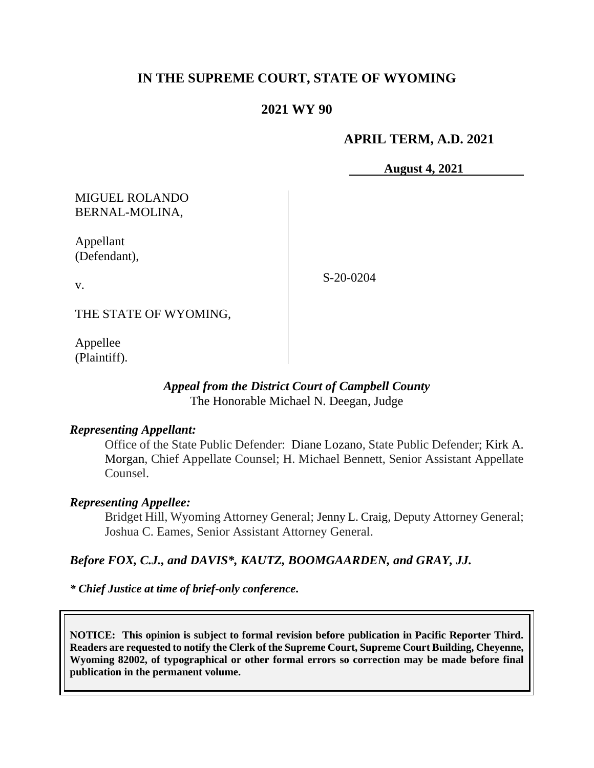# **IN THE SUPREME COURT, STATE OF WYOMING**

### **2021 WY 90**

### **APRIL TERM, A.D. 2021**

**August 4, 2021**

## MIGUEL ROLANDO BERNAL-MOLINA,

Appellant (Defendant),

S-20-0204

THE STATE OF WYOMING,

Appellee (Plaintiff).

v.

### *Appeal from the District Court of Campbell County* The Honorable Michael N. Deegan, Judge

### *Representing Appellant:*

Office of the State Public Defender: Diane Lozano, State Public Defender; [Kirk A.](https://1.next.westlaw.com/Link/Document/FullText?findType=h&pubNum=176284&cite=0342481001&originatingDoc=I9a7cf9d0af6911ea9e229b5f182c9c44&refType=RQ&originationContext=document&transitionType=DocumentItem&contextData=(sc.UserEnteredCitation)&analyticGuid=I9a7cf9d0af6911ea9e229b5f182c9c44)  [Morgan,](https://1.next.westlaw.com/Link/Document/FullText?findType=h&pubNum=176284&cite=0342481001&originatingDoc=I9a7cf9d0af6911ea9e229b5f182c9c44&refType=RQ&originationContext=document&transitionType=DocumentItem&contextData=(sc.UserEnteredCitation)&analyticGuid=I9a7cf9d0af6911ea9e229b5f182c9c44) Chief Appellate Counsel; H. Michael Bennett, Senior Assistant Appellate Counsel.

### *Representing Appellee:*

Bridget Hill, Wyoming Attorney General; Jenny L. Craig, Deputy Attorney General; Joshua C. Eames, Senior Assistant Attorney General.

### *Before FOX, C.J., and DAVIS\*, KAUTZ, BOOMGAARDEN, and GRAY, JJ.*

*\* Chief Justice at time of brief-only conference***.**

**NOTICE: This opinion is subject to formal revision before publication in Pacific Reporter Third. Readers are requested to notify the Clerk of the Supreme Court, Supreme Court Building, Cheyenne, Wyoming 82002, of typographical or other formal errors so correction may be made before final publication in the permanent volume.**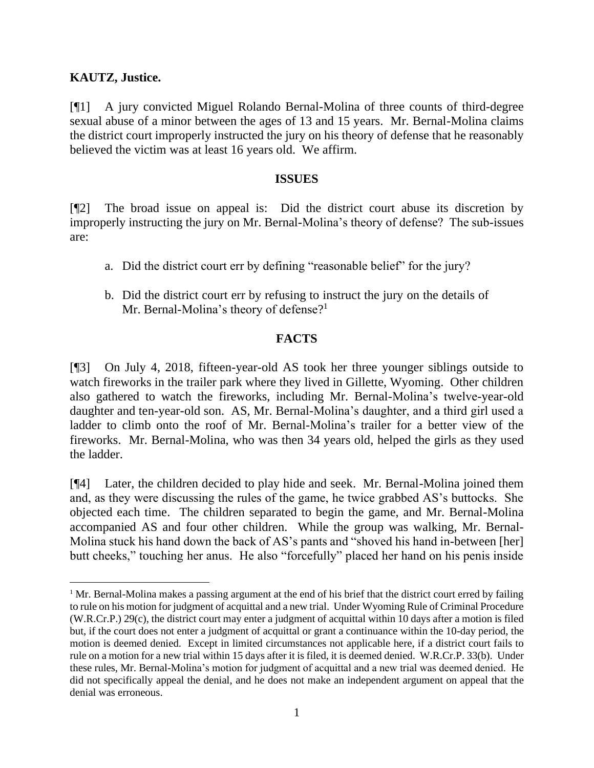### **KAUTZ, Justice.**

[¶1] A jury convicted Miguel Rolando Bernal-Molina of three counts of third-degree sexual abuse of a minor between the ages of 13 and 15 years. Mr. Bernal-Molina claims the district court improperly instructed the jury on his theory of defense that he reasonably believed the victim was at least 16 years old. We affirm.

#### **ISSUES**

[¶2] The broad issue on appeal is: Did the district court abuse its discretion by improperly instructing the jury on Mr. Bernal-Molina's theory of defense? The sub-issues are:

- a. Did the district court err by defining "reasonable belief" for the jury?
- b. Did the district court err by refusing to instruct the jury on the details of Mr. Bernal-Molina's theory of defense?<sup>1</sup>

### **FACTS**

[¶3] On July 4, 2018, fifteen-year-old AS took her three younger siblings outside to watch fireworks in the trailer park where they lived in Gillette, Wyoming. Other children also gathered to watch the fireworks, including Mr. Bernal-Molina's twelve-year-old daughter and ten-year-old son. AS, Mr. Bernal-Molina's daughter, and a third girl used a ladder to climb onto the roof of Mr. Bernal-Molina's trailer for a better view of the fireworks. Mr. Bernal-Molina, who was then 34 years old, helped the girls as they used the ladder.

[¶4] Later, the children decided to play hide and seek. Mr. Bernal-Molina joined them and, as they were discussing the rules of the game, he twice grabbed AS's buttocks. She objected each time. The children separated to begin the game, and Mr. Bernal-Molina accompanied AS and four other children. While the group was walking, Mr. Bernal-Molina stuck his hand down the back of AS's pants and "shoved his hand in-between [her] butt cheeks," touching her anus. He also "forcefully" placed her hand on his penis inside

<sup>&</sup>lt;sup>1</sup> Mr. Bernal-Molina makes a passing argument at the end of his brief that the district court erred by failing to rule on his motion for judgment of acquittal and a new trial. Under Wyoming Rule of Criminal Procedure (W.R.Cr.P.) 29(c), the district court may enter a judgment of acquittal within 10 days after a motion is filed but, if the court does not enter a judgment of acquittal or grant a continuance within the 10-day period, the motion is deemed denied. Except in limited circumstances not applicable here, if a district court fails to rule on a motion for a new trial within 15 days after it is filed, it is deemed denied. W.R.Cr.P. 33(b). Under these rules, Mr. Bernal-Molina's motion for judgment of acquittal and a new trial was deemed denied. He did not specifically appeal the denial, and he does not make an independent argument on appeal that the denial was erroneous.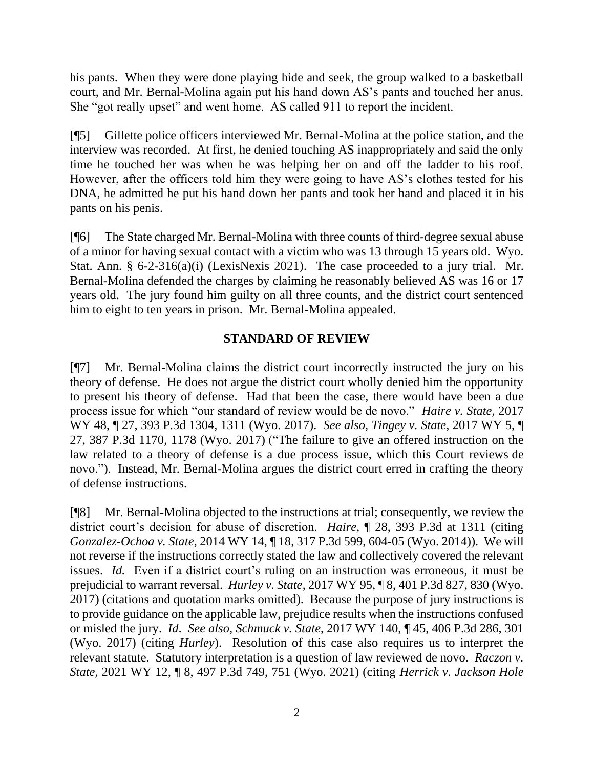his pants. When they were done playing hide and seek, the group walked to a basketball court, and Mr. Bernal-Molina again put his hand down AS's pants and touched her anus. She "got really upset" and went home. AS called 911 to report the incident.

[¶5] Gillette police officers interviewed Mr. Bernal-Molina at the police station, and the interview was recorded. At first, he denied touching AS inappropriately and said the only time he touched her was when he was helping her on and off the ladder to his roof. However, after the officers told him they were going to have AS's clothes tested for his DNA, he admitted he put his hand down her pants and took her hand and placed it in his pants on his penis.

[¶6] The State charged Mr. Bernal-Molina with three counts of third-degree sexual abuse of a minor for having sexual contact with a victim who was 13 through 15 years old. Wyo. Stat. Ann. § 6-2-316(a)(i) (LexisNexis 2021). The case proceeded to a jury trial. Mr. Bernal-Molina defended the charges by claiming he reasonably believed AS was 16 or 17 years old. The jury found him guilty on all three counts, and the district court sentenced him to eight to ten years in prison. Mr. Bernal-Molina appealed.

### **STANDARD OF REVIEW**

[¶7] Mr. Bernal-Molina claims the district court incorrectly instructed the jury on his theory of defense. He does not argue the district court wholly denied him the opportunity to present his theory of defense. Had that been the case, there would have been a due process issue for which "our standard of review would be de novo." *Haire v. State,* 2017 WY 48, ¶ 27, 393 P.3d 1304, 1311 (Wyo. 2017). *See also, Tingey v. State*, 2017 WY 5, ¶ 27, 387 P.3d 1170, 1178 (Wyo. 2017) ("The failure to give an offered instruction on the law related to a theory of defense is a due process issue, which this Court reviews de novo."). Instead, Mr. Bernal-Molina argues the district court erred in crafting the theory of defense instructions.

[¶8] Mr. Bernal-Molina objected to the instructions at trial; consequently, we review the district court's decision for abuse of discretion. *Haire,* ¶ 28, 393 P.3d at 1311 (citing *Gonzalez-Ochoa v. State*, 2014 WY 14, ¶ 18, 317 P.3d 599, 604-05 (Wyo. 2014)). We will not reverse if the instructions correctly stated the law and collectively covered the relevant issues. *Id.* Even if a district court's ruling on an instruction was erroneous, it must be prejudicial to warrant reversal. *Hurley v. State*, 2017 WY 95, ¶ 8, 401 P.3d 827, 830 (Wyo. 2017) (citations and quotation marks omitted). Because the purpose of jury instructions is to provide guidance on the applicable law, prejudice results when the instructions confused or misled the jury. *Id*. *See also*, *Schmuck v. State*, 2017 WY 140, ¶ 45, 406 P.3d 286, 301 (Wyo. 2017) (citing *Hurley*). Resolution of this case also requires us to interpret the relevant statute. Statutory interpretation is a question of law reviewed de novo. *Raczon v. State,* 2021 WY 12, ¶ 8, 497 P.3d 749, 751 (Wyo. 2021) (citing *Herrick v. Jackson Hole*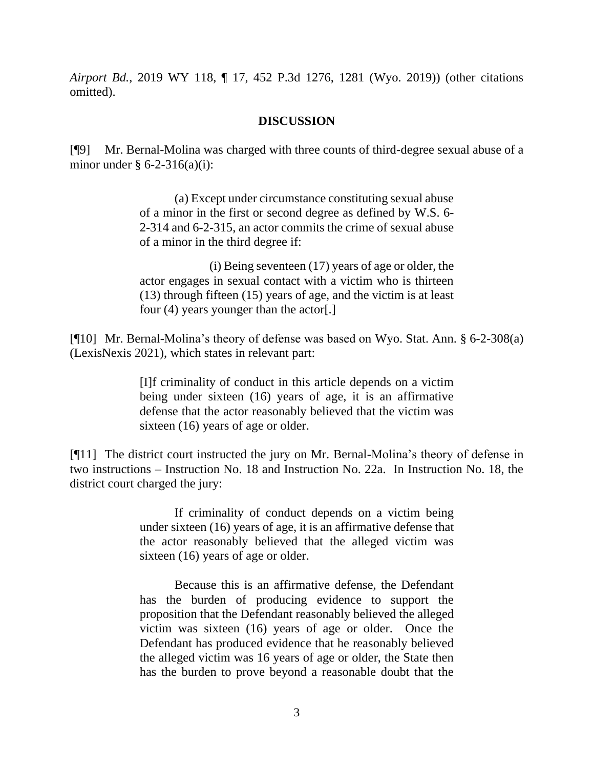*Airport Bd.*, 2019 WY 118, ¶ 17, 452 P.3d 1276, 1281 (Wyo. 2019)) (other citations omitted).

#### **DISCUSSION**

[¶9] Mr. Bernal-Molina was charged with three counts of third-degree sexual abuse of a minor under  $§$  6-2-316(a)(i):

> (a) Except under circumstance constituting sexual abuse of a minor in the first or second degree as defined by W.S. 6- 2-314 and 6-2-315, an actor commits the crime of sexual abuse of a minor in the third degree if:

> (i) Being seventeen (17) years of age or older, the actor engages in sexual contact with a victim who is thirteen (13) through fifteen (15) years of age, and the victim is at least four (4) years younger than the actor[.]

[¶10] Mr. Bernal-Molina's theory of defense was based on Wyo. Stat. Ann. § 6-2-308(a) (LexisNexis 2021), which states in relevant part:

> [I]f criminality of conduct in this article depends on a victim being under sixteen (16) years of age, it is an affirmative defense that the actor reasonably believed that the victim was sixteen (16) years of age or older.

[¶11] The district court instructed the jury on Mr. Bernal-Molina's theory of defense in two instructions – Instruction No. 18 and Instruction No. 22a. In Instruction No. 18, the district court charged the jury:

> If criminality of conduct depends on a victim being under sixteen (16) years of age, it is an affirmative defense that the actor reasonably believed that the alleged victim was sixteen (16) years of age or older.

> Because this is an affirmative defense, the Defendant has the burden of producing evidence to support the proposition that the Defendant reasonably believed the alleged victim was sixteen (16) years of age or older. Once the Defendant has produced evidence that he reasonably believed the alleged victim was 16 years of age or older, the State then has the burden to prove beyond a reasonable doubt that the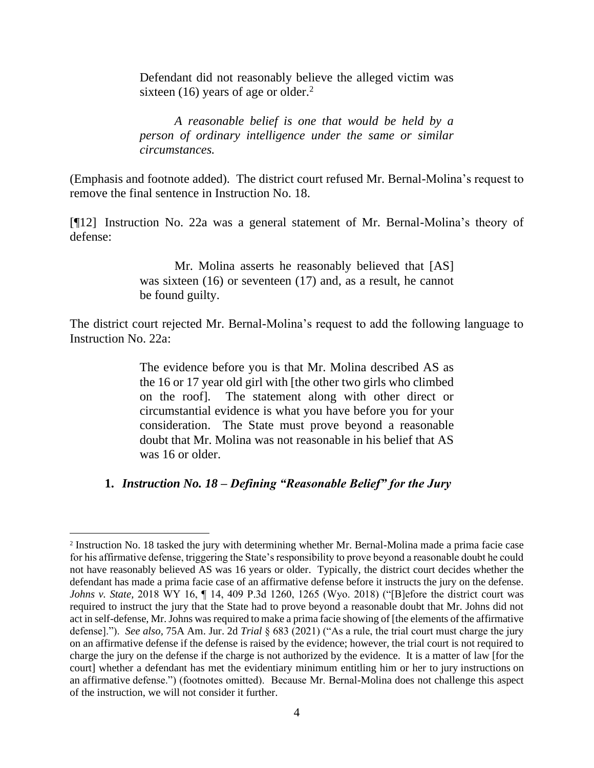Defendant did not reasonably believe the alleged victim was sixteen (16) years of age or older. $<sup>2</sup>$ </sup>

*A reasonable belief is one that would be held by a person of ordinary intelligence under the same or similar circumstances.* 

(Emphasis and footnote added). The district court refused Mr. Bernal-Molina's request to remove the final sentence in Instruction No. 18.

[¶12] Instruction No. 22a was a general statement of Mr. Bernal-Molina's theory of defense:

> Mr. Molina asserts he reasonably believed that [AS] was sixteen (16) or seventeen (17) and, as a result, he cannot be found guilty.

The district court rejected Mr. Bernal-Molina's request to add the following language to Instruction No. 22a:

> The evidence before you is that Mr. Molina described AS as the 16 or 17 year old girl with [the other two girls who climbed on the roof]. The statement along with other direct or circumstantial evidence is what you have before you for your consideration. The State must prove beyond a reasonable doubt that Mr. Molina was not reasonable in his belief that AS was 16 or older.

### **1.** *Instruction No. 18 – Defining "Reasonable Belief" for the Jury*

<sup>2</sup> Instruction No. 18 tasked the jury with determining whether Mr. Bernal-Molina made a prima facie case for his affirmative defense, triggering the State's responsibility to prove beyond a reasonable doubt he could not have reasonably believed AS was 16 years or older. Typically, the district court decides whether the defendant has made a prima facie case of an affirmative defense before it instructs the jury on the defense. *Johns v. State,* 2018 WY 16, ¶ 14, 409 P.3d 1260, 1265 (Wyo. 2018) ("[B]efore the district court was required to instruct the jury that the State had to prove beyond a reasonable doubt that Mr. Johns did not act in self-defense, Mr. Johns was required to make a prima facie showing of [the elements of the affirmative defense]."). *See also,* 75A Am. Jur. 2d *Trial* § 683 (2021) ("As a rule, the trial court must charge the jury on an affirmative defense if the defense is raised by the evidence; however, the trial court is not required to charge the jury on the defense if the charge is not authorized by the evidence. It is a matter of law [for the court] whether a defendant has met the evidentiary minimum entitling him or her to jury instructions on an affirmative defense.") (footnotes omitted). Because Mr. Bernal-Molina does not challenge this aspect of the instruction, we will not consider it further.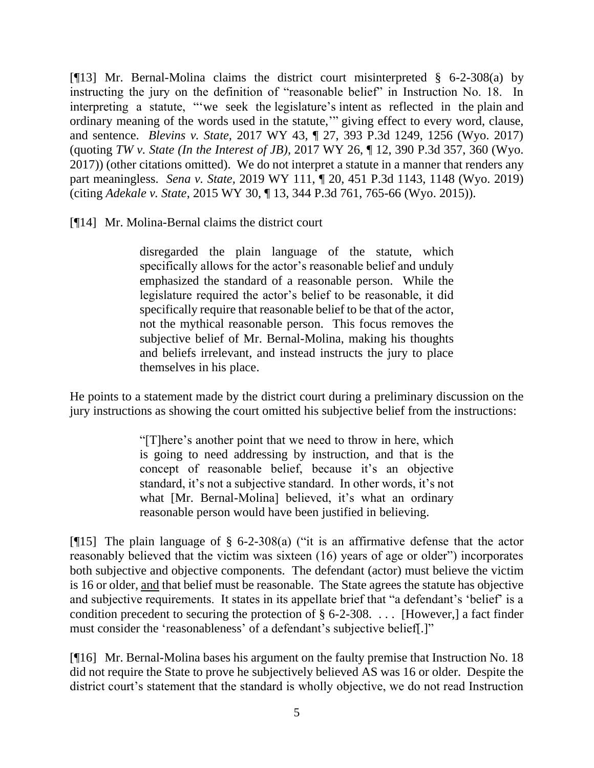[¶13] Mr. Bernal-Molina claims the district court misinterpreted § 6-2-308(a) by instructing the jury on the definition of "reasonable belief" in Instruction No. 18. In interpreting a statute, "'we seek the legislature's intent as reflected in the plain and ordinary meaning of the words used in the statute,'" giving effect to every word, clause, and sentence. *Blevins v. State,* 2017 WY 43, ¶ 27, 393 P.3d 1249, 1256 (Wyo. 2017) (quoting *TW v. State (In the Interest of JB),* 2017 WY 26, ¶ 12, 390 P.3d 357, 360 (Wyo. 2017)) (other citations omitted). We do not interpret a statute in a manner that renders any part meaningless. *Sena v. State,* 2019 WY 111, ¶ 20, 451 P.3d 1143, 1148 (Wyo. 2019) (citing *Adekale v. State*, 2015 WY 30, ¶ 13, 344 P.3d 761, 765-66 (Wyo. 2015)).

[¶14] Mr. Molina-Bernal claims the district court

disregarded the plain language of the statute, which specifically allows for the actor's reasonable belief and unduly emphasized the standard of a reasonable person. While the legislature required the actor's belief to be reasonable, it did specifically require that reasonable belief to be that of the actor, not the mythical reasonable person. This focus removes the subjective belief of Mr. Bernal-Molina, making his thoughts and beliefs irrelevant, and instead instructs the jury to place themselves in his place.

He points to a statement made by the district court during a preliminary discussion on the jury instructions as showing the court omitted his subjective belief from the instructions:

> "[T]here's another point that we need to throw in here, which is going to need addressing by instruction, and that is the concept of reasonable belief, because it's an objective standard, it's not a subjective standard. In other words, it's not what [Mr. Bernal-Molina] believed, it's what an ordinary reasonable person would have been justified in believing.

[ $[15]$ ] The plain language of § 6-2-308(a) ("it is an affirmative defense that the actor reasonably believed that the victim was sixteen (16) years of age or older") incorporates both subjective and objective components. The defendant (actor) must believe the victim is 16 or older, and that belief must be reasonable. The State agrees the statute has objective and subjective requirements. It states in its appellate brief that "a defendant's 'belief' is a condition precedent to securing the protection of § 6-2-308. . . . [However,] a fact finder must consider the 'reasonableness' of a defendant's subjective belief[.]"

[¶16] Mr. Bernal-Molina bases his argument on the faulty premise that Instruction No. 18 did not require the State to prove he subjectively believed AS was 16 or older. Despite the district court's statement that the standard is wholly objective, we do not read Instruction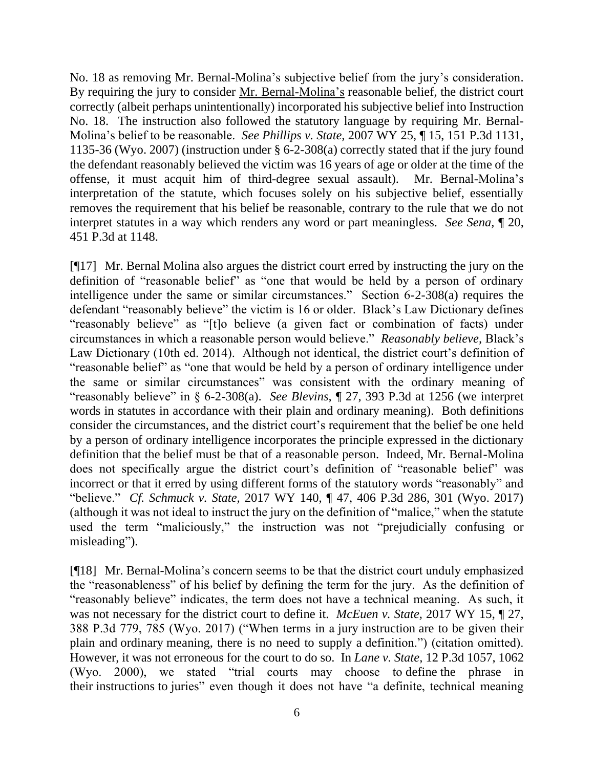No. 18 as removing Mr. Bernal-Molina's subjective belief from the jury's consideration. By requiring the jury to consider Mr. Bernal-Molina's reasonable belief, the district court correctly (albeit perhaps unintentionally) incorporated his subjective belief into Instruction No. 18. The instruction also followed the statutory language by requiring Mr. Bernal-Molina's belief to be reasonable. *See Phillips v. State,* 2007 WY 25, ¶ 15, 151 P.3d 1131, 1135-36 (Wyo. 2007) (instruction under § 6-2-308(a) correctly stated that if the jury found the defendant reasonably believed the victim was 16 years of age or older at the time of the offense, it must acquit him of third-degree sexual assault). Mr. Bernal-Molina's interpretation of the statute, which focuses solely on his subjective belief, essentially removes the requirement that his belief be reasonable, contrary to the rule that we do not interpret statutes in a way which renders any word or part meaningless. *See Sena,* ¶ 20, 451 P.3d at 1148.

[¶17] Mr. Bernal Molina also argues the district court erred by instructing the jury on the definition of "reasonable belief" as "one that would be held by a person of ordinary intelligence under the same or similar circumstances." Section 6-2-308(a) requires the defendant "reasonably believe" the victim is 16 or older. Black's Law Dictionary defines "reasonably believe" as "[t]o believe (a given fact or combination of facts) under circumstances in which a reasonable person would believe." *Reasonably believe,* Black's Law Dictionary (10th ed. 2014). Although not identical, the district court's definition of "reasonable belief" as "one that would be held by a person of ordinary intelligence under the same or similar circumstances" was consistent with the ordinary meaning of "reasonably believe" in § 6-2-308(a). *See Blevins,* ¶ 27, 393 P.3d at 1256 (we interpret words in statutes in accordance with their plain and ordinary meaning). Both definitions consider the circumstances, and the district court's requirement that the belief be one held by a person of ordinary intelligence incorporates the principle expressed in the dictionary definition that the belief must be that of a reasonable person. Indeed, Mr. Bernal-Molina does not specifically argue the district court's definition of "reasonable belief" was incorrect or that it erred by using different forms of the statutory words "reasonably" and "believe." *Cf. Schmuck v. State,* 2017 WY 140, ¶ 47, 406 P.3d 286, 301 (Wyo. 2017) (although it was not ideal to instruct the jury on the definition of "malice," when the statute used the term "maliciously," the instruction was not "prejudicially confusing or misleading").

[¶18] Mr. Bernal-Molina's concern seems to be that the district court unduly emphasized the "reasonableness" of his belief by defining the term for the jury. As the definition of "reasonably believe" indicates, the term does not have a technical meaning. As such, it was not necessary for the district court to define it. *McEuen v. State,* 2017 WY 15, ¶ 27, 388 P.3d 779, 785 (Wyo. 2017) ("When terms in a jury instruction are to be given their plain and ordinary meaning, there is no need to supply a definition.") (citation omitted). However, it was not erroneous for the court to do so. In *Lane v. State,* 12 P.3d 1057, 1062 (Wyo. 2000), we stated "trial courts may choose to define the phrase in their instructions to juries" even though it does not have "a definite, technical meaning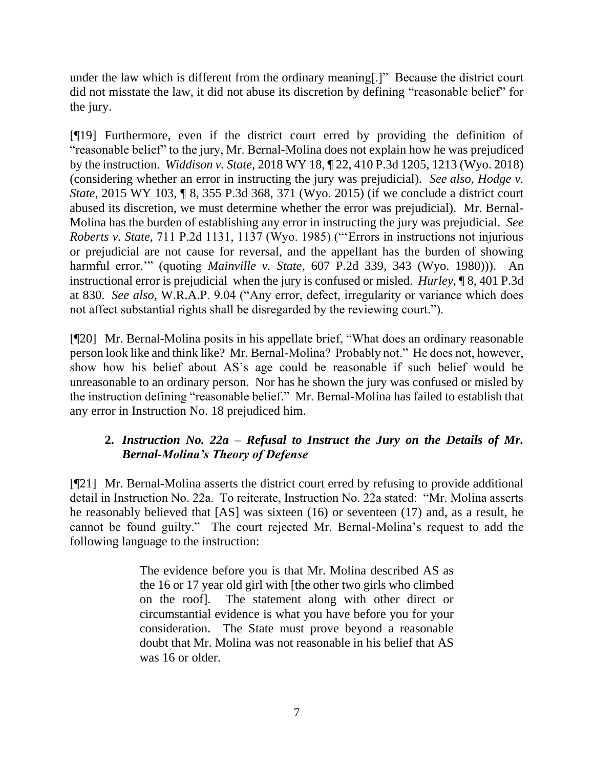under the law which is different from the ordinary meaning[.]" Because the district court did not misstate the law, it did not abuse its discretion by defining "reasonable belief" for the jury.

[¶19] Furthermore, even if the district court erred by providing the definition of "reasonable belief" to the jury, Mr. Bernal-Molina does not explain how he was prejudiced by the instruction. *Widdison v. State,* 2018 WY 18, ¶ 22, 410 P.3d 1205, 1213 (Wyo. 2018) (considering whether an error in instructing the jury was prejudicial). *See also, Hodge v. State*, 2015 WY 103, ¶ 8, 355 P.3d 368, 371 (Wyo. 2015) (if we conclude a district court abused its discretion, we must determine whether the error was prejudicial). Mr. Bernal-Molina has the burden of establishing any error in instructing the jury was prejudicial. *See Roberts v. State,* 711 P.2d 1131, 1137 (Wyo. 1985) ("'Errors in instructions not injurious or prejudicial are not cause for reversal, and the appellant has the burden of showing harmful error.'" (quoting *Mainville v. State,* 607 P.2d 339, 343 (Wyo. 1980))). An instructional error is prejudicial when the jury is confused or misled. *Hurley*, ¶ 8, 401 P.3d at 830. *See also,* W.R.A.P. 9.04 ("Any error, defect, irregularity or variance which does not affect substantial rights shall be disregarded by the reviewing court.").

[¶20] Mr. Bernal-Molina posits in his appellate brief, "What does an ordinary reasonable person look like and think like? Mr. Bernal-Molina? Probably not." He does not, however, show how his belief about AS's age could be reasonable if such belief would be unreasonable to an ordinary person. Nor has he shown the jury was confused or misled by the instruction defining "reasonable belief." Mr. Bernal-Molina has failed to establish that any error in Instruction No. 18 prejudiced him.

# **2.** *Instruction No. 22a – Refusal to Instruct the Jury on the Details of Mr. Bernal-Molina's Theory of Defense*

[¶21] Mr. Bernal-Molina asserts the district court erred by refusing to provide additional detail in Instruction No. 22a. To reiterate, Instruction No. 22a stated: "Mr. Molina asserts he reasonably believed that [AS] was sixteen (16) or seventeen (17) and, as a result, he cannot be found guilty." The court rejected Mr. Bernal-Molina's request to add the following language to the instruction:

> The evidence before you is that Mr. Molina described AS as the 16 or 17 year old girl with [the other two girls who climbed on the roof]. The statement along with other direct or circumstantial evidence is what you have before you for your consideration. The State must prove beyond a reasonable doubt that Mr. Molina was not reasonable in his belief that AS was 16 or older.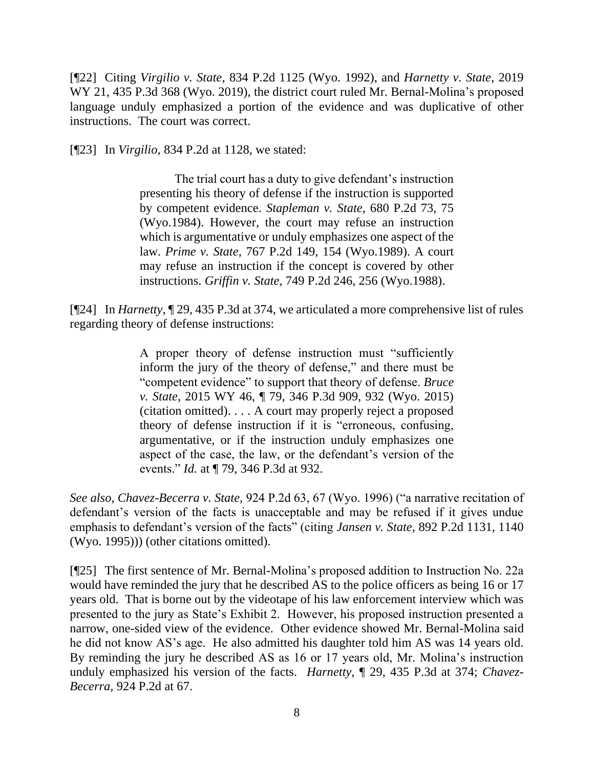[¶22] Citing *Virgilio v. State,* 834 P.2d 1125 (Wyo. 1992), and *Harnetty v. State,* 2019 WY 21, 435 P.3d 368 (Wyo. 2019), the district court ruled Mr. Bernal-Molina's proposed language unduly emphasized a portion of the evidence and was duplicative of other instructions. The court was correct.

[¶23] In *Virgilio,* 834 P.2d at 1128, we stated:

The trial court has a duty to give defendant's instruction presenting his theory of defense if the instruction is supported by competent evidence. *Stapleman v. State,* 680 P.2d 73, 75 (Wyo.1984). However, the court may refuse an instruction which is argumentative or unduly emphasizes one aspect of the law. *Prime v. State,* 767 P.2d 149, 154 (Wyo.1989). A court may refuse an instruction if the concept is covered by other instructions. *Griffin v. State,* 749 P.2d 246, 256 (Wyo.1988).

[¶24] In *Harnetty,* ¶ 29, 435 P.3d at 374, we articulated a more comprehensive list of rules regarding theory of defense instructions:

> A proper theory of defense instruction must "sufficiently inform the jury of the theory of defense," and there must be "competent evidence" to support that theory of defense. *Bruce v. State*, 2015 WY 46, ¶ 79, 346 P.3d 909, 932 (Wyo. 2015) (citation omitted). . . . A court may properly reject a proposed theory of defense instruction if it is "erroneous, confusing, argumentative, or if the instruction unduly emphasizes one aspect of the case, the law, or the defendant's version of the events." *Id.* at ¶ 79, 346 P.3d at 932.

*See also, Chavez-Becerra v. State,* 924 P.2d 63, 67 (Wyo. 1996) ("a narrative recitation of defendant's version of the facts is unacceptable and may be refused if it gives undue emphasis to defendant's version of the facts" (citing *Jansen v. State,* 892 P.2d 1131, 1140 (Wyo. 1995))) (other citations omitted).

[¶25] The first sentence of Mr. Bernal-Molina's proposed addition to Instruction No. 22a would have reminded the jury that he described AS to the police officers as being 16 or 17 years old. That is borne out by the videotape of his law enforcement interview which was presented to the jury as State's Exhibit 2. However, his proposed instruction presented a narrow, one-sided view of the evidence. Other evidence showed Mr. Bernal-Molina said he did not know AS's age. He also admitted his daughter told him AS was 14 years old. By reminding the jury he described AS as 16 or 17 years old, Mr. Molina's instruction unduly emphasized his version of the facts. *Harnetty,* ¶ 29, 435 P.3d at 374; *Chavez-Becerra,* 924 P.2d at 67.